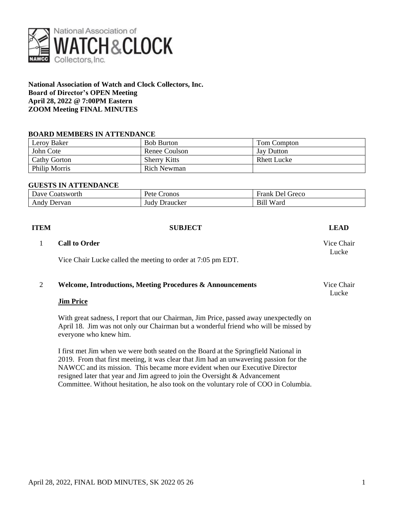

**National Association of Watch and Clock Collectors, Inc. Board of Director's OPEN Meeting April 28, 2022 @ 7:00PM Eastern ZOOM Meeting FINAL MINUTES**

### **BOARD MEMBERS IN ATTENDANCE**

| Leroy Baker          | <b>Bob Burton</b>   | Tom Compton        |
|----------------------|---------------------|--------------------|
| John Cote            | Renee Coulson       | <b>Jay Dutton</b>  |
| Cathy Gorton         | <b>Sherry Kitts</b> | <b>Rhett Lucke</b> |
| <b>Philip Morris</b> | Rich Newman         |                    |

### **GUESTS IN ATTENDANCE**

| ____            |                        |                       |  |  |  |
|-----------------|------------------------|-----------------------|--|--|--|
| Dave Coatsworth | <b>P</b> ete<br>Cronos | Greco<br>Del<br>Frank |  |  |  |
| Andy<br>Dervan  | Judy<br>Draucker       | Ward<br>Bill          |  |  |  |

| <b>ITEM</b> | <b>SUBJECT</b>                                                                                                                                                                                           | <b>LEAD</b>         |
|-------------|----------------------------------------------------------------------------------------------------------------------------------------------------------------------------------------------------------|---------------------|
|             | <b>Call to Order</b>                                                                                                                                                                                     | Vice Chair<br>Lucke |
|             | Vice Chair Lucke called the meeting to order at 7:05 pm EDT.                                                                                                                                             |                     |
| 2           | <b>Welcome, Introductions, Meeting Procedures &amp; Announcements</b>                                                                                                                                    | Vice Chair<br>Lucke |
|             | <b>Jim Price</b>                                                                                                                                                                                         |                     |
|             | With great sadness, I report that our Chairman, Jim Price, passed away unexpectedly on<br>April 18. Jim was not only our Chairman but a wonderful friend who will be missed by<br>everyone who knew him. |                     |
|             | I first met Jim when we were both seated on the Board at the Springfield National in<br>2019. From that first meeting, it was clear that Jim had an unwavering passion for the<br>$\mathbf{M}$           |                     |

NAWCC and its mission. This became more evident when our Executive Director resigned later that year and Jim agreed to join the Oversight & Advancement Committee. Without hesitation, he also took on the voluntary role of COO in Columbia.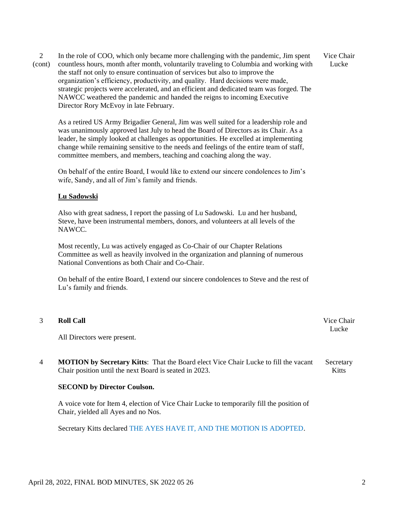2 (cont) In the role of COO, which only became more challenging with the pandemic, Jim spent countless hours, month after month, voluntarily traveling to Columbia and working with the staff not only to ensure continuation of services but also to improve the organization's efficiency, productivity, and quality. Hard decisions were made, strategic projects were accelerated, and an efficient and dedicated team was forged. The NAWCC weathered the pandemic and handed the reigns to incoming Executive Director Rory McEvoy in late February.

Vice Chair Lucke

As a retired US Army Brigadier General, Jim was well suited for a leadership role and was unanimously approved last July to head the Board of Directors as its Chair. As a leader, he simply looked at challenges as opportunities. He excelled at implementing change while remaining sensitive to the needs and feelings of the entire team of staff, committee members, and members, teaching and coaching along the way.

On behalf of the entire Board, I would like to extend our sincere condolences to Jim's wife, Sandy, and all of Jim's family and friends.

### **Lu Sadowski**

Also with great sadness, I report the passing of Lu Sadowski. Lu and her husband, Steve, have been instrumental members, donors, and volunteers at all levels of the NAWCC.

Most recently, Lu was actively engaged as Co-Chair of our Chapter Relations Committee as well as heavily involved in the organization and planning of numerous National Conventions as both Chair and Co-Chair.

On behalf of the entire Board, I extend our sincere condolences to Steve and the rest of Lu's family and friends.

| <b>Roll Call</b>                                                                           |           |  |
|--------------------------------------------------------------------------------------------|-----------|--|
| All Directors were present.                                                                | Lucke     |  |
| <b>MOTION by Secretary Kitts:</b> That the Board elect Vice Chair Lucke to fill the vacant | Secretary |  |

**SECOND by Director Coulson.**

Chair position until the next Board is seated in 2023.

A voice vote for Item 4, election of Vice Chair Lucke to temporarily fill the position of Chair, yielded all Ayes and no Nos.

Secretary Kitts declared THE AYES HAVE IT, AND THE MOTION IS ADOPTED.

Kitts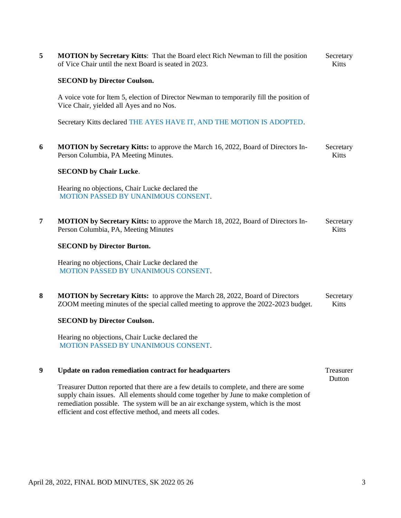| 5 | <b>MOTION</b> by Secretary Kitts: That the Board elect Rich Newman to fill the position<br>of Vice Chair until the next Board is seated in 2023.                                                                                                                                                                                  |                           |  |  |  |
|---|-----------------------------------------------------------------------------------------------------------------------------------------------------------------------------------------------------------------------------------------------------------------------------------------------------------------------------------|---------------------------|--|--|--|
|   | <b>SECOND by Director Coulson.</b>                                                                                                                                                                                                                                                                                                |                           |  |  |  |
|   | A voice vote for Item 5, election of Director Newman to temporarily fill the position of<br>Vice Chair, yielded all Ayes and no Nos.                                                                                                                                                                                              |                           |  |  |  |
|   | Secretary Kitts declared THE AYES HAVE IT, AND THE MOTION IS ADOPTED.                                                                                                                                                                                                                                                             |                           |  |  |  |
| 6 | <b>MOTION by Secretary Kitts:</b> to approve the March 16, 2022, Board of Directors In-<br>Person Columbia, PA Meeting Minutes.                                                                                                                                                                                                   | Secretary<br>Kitts        |  |  |  |
|   | <b>SECOND by Chair Lucke.</b>                                                                                                                                                                                                                                                                                                     |                           |  |  |  |
|   | Hearing no objections, Chair Lucke declared the<br>MOTION PASSED BY UNANIMOUS CONSENT.                                                                                                                                                                                                                                            |                           |  |  |  |
| 7 | <b>MOTION by Secretary Kitts:</b> to approve the March 18, 2022, Board of Directors In-<br>Person Columbia, PA, Meeting Minutes                                                                                                                                                                                                   | Secretary<br><b>Kitts</b> |  |  |  |
|   | <b>SECOND by Director Burton.</b>                                                                                                                                                                                                                                                                                                 |                           |  |  |  |
|   | Hearing no objections, Chair Lucke declared the<br>MOTION PASSED BY UNANIMOUS CONSENT.                                                                                                                                                                                                                                            |                           |  |  |  |
| 8 | <b>MOTION by Secretary Kitts:</b> to approve the March 28, 2022, Board of Directors<br>ZOOM meeting minutes of the special called meeting to approve the 2022-2023 budget.                                                                                                                                                        | Secretary<br>Kitts        |  |  |  |
|   | <b>SECOND by Director Coulson.</b>                                                                                                                                                                                                                                                                                                |                           |  |  |  |
|   | Hearing no objections, Chair Lucke declared the<br>MOTION PASSED BY UNANIMOUS CONSENT.                                                                                                                                                                                                                                            |                           |  |  |  |
| 9 | Update on radon remediation contract for headquarters                                                                                                                                                                                                                                                                             | Treasurer<br>Dutton       |  |  |  |
|   | Treasurer Dutton reported that there are a few details to complete, and there are some<br>supply chain issues. All elements should come together by June to make completion of<br>remediation possible. The system will be an air exchange system, which is the most<br>efficient and cost effective method, and meets all codes. |                           |  |  |  |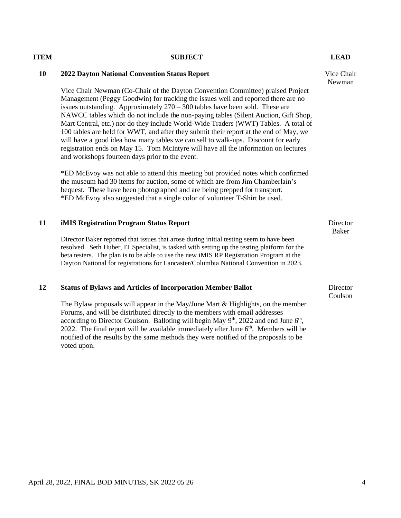### April 28, 2022, FINAL BOD MINUTES, SK 2022 05 26 4

## **ITEM SUBJECT LEAD**

### **10 2022 Dayton National Convention Status Report**

Vice Chair Newman (Co-Chair of the Dayton Convention Committee) praised Project Management (Peggy Goodwin) for tracking the issues well and reported there are no issues outstanding. Approximately  $270 - 300$  tables have been sold. These are NAWCC tables which do not include the non-paying tables (Silent Auction, Gift Shop, Mart Central, etc.) nor do they include World-Wide Traders (WWT) Tables. A total of 100 tables are held for WWT, and after they submit their report at the end of May, we will have a good idea how many tables we can sell to walk-ups. Discount for early registration ends on May 15. Tom McIntyre will have all the information on lectures and workshops fourteen days prior to the event.

\*ED McEvoy was not able to attend this meeting but provided notes which confirmed the museum had 30 items for auction, some of which are from Jim Chamberlain's bequest. These have been photographed and are being prepped for transport. \*ED McEvoy also suggested that a single color of volunteer T-Shirt be used.

### **11 iMIS Registration Program Status Report**

Director Baker reported that issues that arose during initial testing seem to have been resolved. Seth Huber, IT Specialist, is tasked with setting up the testing platform for the beta testers. The plan is to be able to use the new iMIS RP Registration Program at the Dayton National for registrations for Lancaster/Columbia National Convention in 2023.

### **12 Status of Bylaws and Articles of Incorporation Member Ballot**

The Bylaw proposals will appear in the May/June Mart & Highlights, on the member Forums, and will be distributed directly to the members with email addresses according to Director Coulson. Balloting will begin May  $9<sup>th</sup>$ , 2022 and end June  $6<sup>th</sup>$ , 2022. The final report will be available immediately after June  $6<sup>th</sup>$ . Members will be notified of the results by the same methods they were notified of the proposals to be voted upon.

Vice Chair Newman

**Director** 

Director Baker

Coulson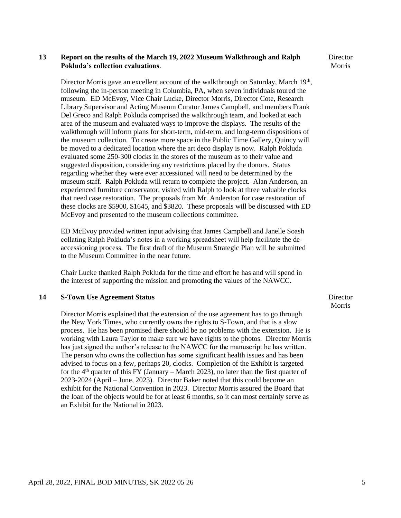### **13 Report on the results of the March 19, 2022 Museum Walkthrough and Ralph Pokluda's collection evaluations**.

**Director** Morris

Director Morris gave an excellent account of the walkthrough on Saturday, March 19<sup>th</sup>, following the in-person meeting in Columbia, PA, when seven individuals toured the museum. ED McEvoy, Vice Chair Lucke, Director Morris, Director Cote, Research Library Supervisor and Acting Museum Curator James Campbell, and members Frank Del Greco and Ralph Pokluda comprised the walkthrough team, and looked at each area of the museum and evaluated ways to improve the displays. The results of the walkthrough will inform plans for short-term, mid-term, and long-term dispositions of the museum collection. To create more space in the Public Time Gallery, Quincy will be moved to a dedicated location where the art deco display is now. Ralph Pokluda evaluated some 250-300 clocks in the stores of the museum as to their value and suggested disposition, considering any restrictions placed by the donors. Status regarding whether they were ever accessioned will need to be determined by the museum staff. Ralph Pokluda will return to complete the project. Alan Anderson, an experienced furniture conservator, visited with Ralph to look at three valuable clocks that need case restoration. The proposals from Mr. Anderston for case restoration of these clocks are \$5900, \$1645, and \$3820. These proposals will be discussed with ED McEvoy and presented to the museum collections committee.

ED McEvoy provided written input advising that James Campbell and Janelle Soash collating Ralph Pokluda's notes in a working spreadsheet will help facilitate the deaccessioning process. The first draft of the Museum Strategic Plan will be submitted to the Museum Committee in the near future.

Chair Lucke thanked Ralph Pokluda for the time and effort he has and will spend in the interest of supporting the mission and promoting the values of the NAWCC.

### **14 S-Town Use Agreement Status**

Director Morris explained that the extension of the use agreement has to go through the New York Times, who currently owns the rights to S-Town, and that is a slow process. He has been promised there should be no problems with the extension. He is working with Laura Taylor to make sure we have rights to the photos. Director Morris has just signed the author's release to the NAWCC for the manuscript he has written. The person who owns the collection has some significant health issues and has been advised to focus on a few, perhaps 20, clocks. Completion of the Exhibit is targeted for the  $4<sup>th</sup>$  quarter of this FY (January – March 2023), no later than the first quarter of 2023-2024 (April – June, 2023). Director Baker noted that this could become an exhibit for the National Convention in 2023. Director Morris assured the Board that the loan of the objects would be for at least 6 months, so it can most certainly serve as an Exhibit for the National in 2023.

**Director** Morris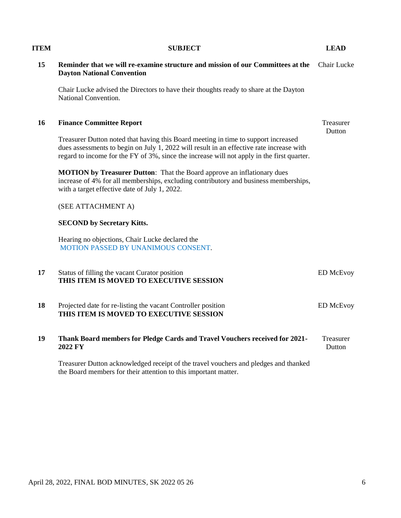# the Board members for their attention to this important matter.

**Dayton National Convention**

# **ITEM SUBJECT LEAD**

Chair Lucke advised the Directors to have their thoughts ready to share at the Dayton

15 Reminder that we will re-examine structure and mission of our Committees at the Chair Lucke

|    | National Convention.                                                                                                                                                                                                                                                         |                     |
|----|------------------------------------------------------------------------------------------------------------------------------------------------------------------------------------------------------------------------------------------------------------------------------|---------------------|
| 16 | <b>Finance Committee Report</b>                                                                                                                                                                                                                                              | Treasurer<br>Dutton |
|    | Treasurer Dutton noted that having this Board meeting in time to support increased<br>dues assessments to begin on July 1, 2022 will result in an effective rate increase with<br>regard to income for the FY of 3%, since the increase will not apply in the first quarter. |                     |
|    | MOTION by Treasurer Dutton: That the Board approve an inflationary dues<br>increase of 4% for all memberships, excluding contributory and business memberships,<br>with a target effective date of July 1, 2022.                                                             |                     |
|    | (SEE ATTACHMENT A)                                                                                                                                                                                                                                                           |                     |
|    | <b>SECOND by Secretary Kitts.</b>                                                                                                                                                                                                                                            |                     |
|    | Hearing no objections, Chair Lucke declared the<br>MOTION PASSED BY UNANIMOUS CONSENT.                                                                                                                                                                                       |                     |
| 17 | Status of filling the vacant Curator position<br>THIS ITEM IS MOVED TO EXECUTIVE SESSION                                                                                                                                                                                     | <b>ED McEvoy</b>    |
| 18 | Projected date for re-listing the vacant Controller position<br>THIS ITEM IS MOVED TO EXECUTIVE SESSION                                                                                                                                                                      | <b>ED McEvoy</b>    |
| 19 | Thank Board members for Pledge Cards and Travel Vouchers received for 2021-<br>2022 FY                                                                                                                                                                                       | Treasurer<br>Dutton |
|    | Treasurer Dutton acknowledged receipt of the travel vouchers and pledges and thanked                                                                                                                                                                                         |                     |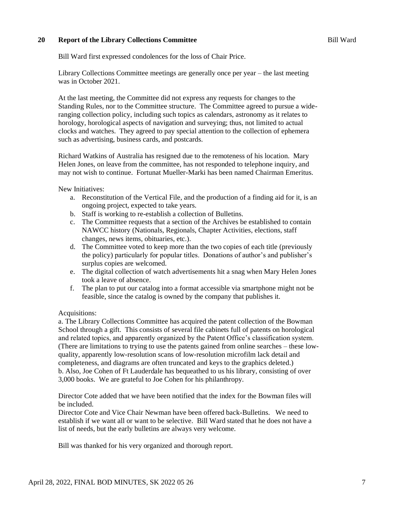### **20 Report of the Library Collections Committee**

Bill Ward first expressed condolences for the loss of Chair Price.

Library Collections Committee meetings are generally once per year – the last meeting was in October 2021.

At the last meeting, the Committee did not express any requests for changes to the Standing Rules, nor to the Committee structure. The Committee agreed to pursue a wideranging collection policy, including such topics as calendars, astronomy as it relates to horology, horological aspects of navigation and surveying; thus, not limited to actual clocks and watches. They agreed to pay special attention to the collection of ephemera such as advertising, business cards, and postcards.

Richard Watkins of Australia has resigned due to the remoteness of his location. Mary Helen Jones, on leave from the committee, has not responded to telephone inquiry, and may not wish to continue. Fortunat Mueller-Marki has been named Chairman Emeritus.

New Initiatives:

- a. Reconstitution of the Vertical File, and the production of a finding aid for it, is an ongoing project, expected to take years.
- b. Staff is working to re-establish a collection of Bulletins.
- c. The Committee requests that a section of the Archives be established to contain NAWCC history (Nationals, Regionals, Chapter Activities, elections, staff changes, news items, obituaries, etc.).
- d. The Committee voted to keep more than the two copies of each title (previously the policy) particularly for popular titles. Donations of author's and publisher's surplus copies are welcomed.
- e. The digital collection of watch advertisements hit a snag when Mary Helen Jones took a leave of absence.
- f. The plan to put our catalog into a format accessible via smartphone might not be feasible, since the catalog is owned by the company that publishes it.

### Acquisitions:

a. The Library Collections Committee has acquired the patent collection of the Bowman School through a gift. This consists of several file cabinets full of patents on horological and related topics, and apparently organized by the Patent Office's classification system. (There are limitations to trying to use the patents gained from online searches – these lowquality, apparently low-resolution scans of low-resolution microfilm lack detail and completeness, and diagrams are often truncated and keys to the graphics deleted.) b. Also, Joe Cohen of Ft Lauderdale has bequeathed to us his library, consisting of over 3,000 books. We are grateful to Joe Cohen for his philanthropy.

Director Cote added that we have been notified that the index for the Bowman files will be included.

Director Cote and Vice Chair Newman have been offered back-Bulletins. We need to establish if we want all or want to be selective. Bill Ward stated that he does not have a list of needs, but the early bulletins are always very welcome.

Bill was thanked for his very organized and thorough report.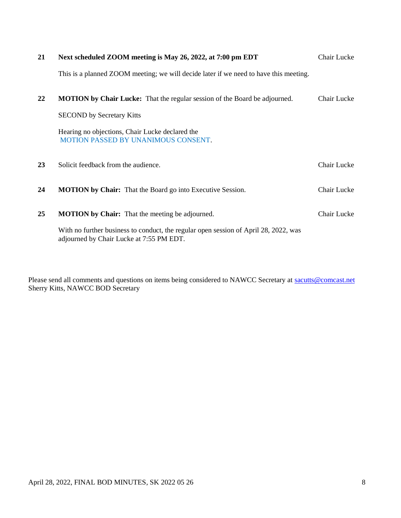| 21 | Next scheduled ZOOM meeting is May 26, 2022, at 7:00 pm EDT                                                                      | Chair Lucke |
|----|----------------------------------------------------------------------------------------------------------------------------------|-------------|
|    | This is a planned ZOOM meeting; we will decide later if we need to have this meeting.                                            |             |
| 22 | <b>MOTION by Chair Lucke:</b> That the regular session of the Board be adjourned.                                                | Chair Lucke |
|    | <b>SECOND</b> by Secretary Kitts                                                                                                 |             |
|    | Hearing no objections, Chair Lucke declared the<br><b>MOTION PASSED BY UNANIMOUS CONSENT.</b>                                    |             |
| 23 | Solicit feedback from the audience.                                                                                              | Chair Lucke |
| 24 | <b>MOTION by Chair:</b> That the Board go into Executive Session.                                                                | Chair Lucke |
| 25 | <b>MOTION</b> by Chair: That the meeting be adjourned.                                                                           | Chair Lucke |
|    | With no further business to conduct, the regular open session of April 28, 2022, was<br>adjourned by Chair Lucke at 7:55 PM EDT. |             |

Please send all comments and questions on items being considered to NAWCC Secretary at [sacutts@comcast.net](mailto:sacutts@comcast.net) Sherry Kitts, NAWCC BOD Secretary